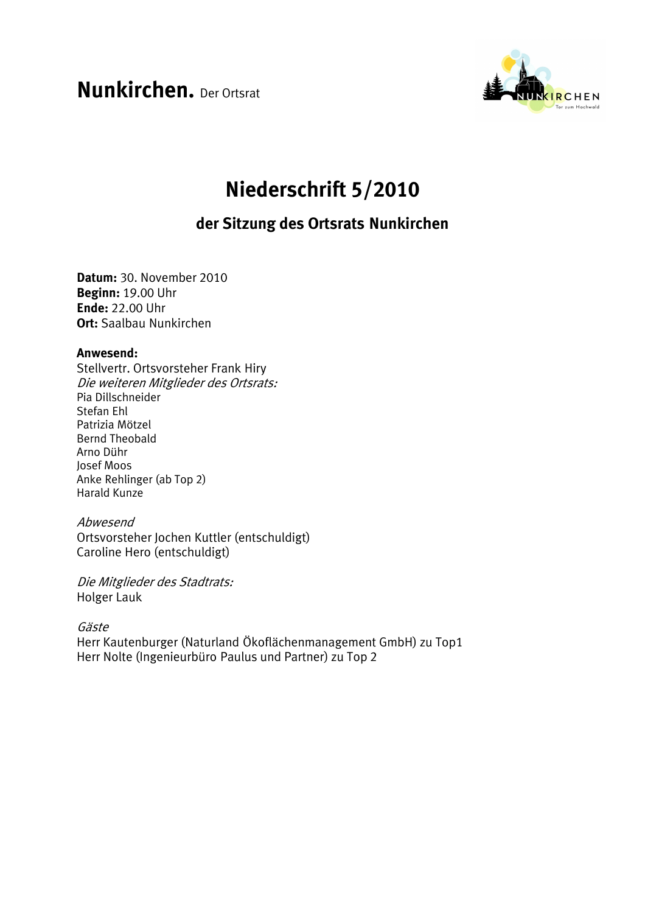**Nunkirchen.** Der Ortsrat



# Niederschrift 5/2010

## der Sitzung des Ortsrats Nunkirchen

Datum: 30. November 2010 Beginn: 19.00 Uhr **Ende: 22.00 Uhr Ort:** Saalbau Nunkirchen

#### Anwesend:

Stellvertr. Ortsvorsteher Frank Hiry Die weiteren Mitglieder des Ortsrats: Pia Dillschneider Stefan Fhl Patrizia Mötzel **Bernd Theobald** Arno Dühr Josef Moos Anke Rehlinger (ab Top 2) **Harald Kunze** 

#### Abwesend

Ortsvorsteher Jochen Kuttler (entschuldigt) Caroline Hero (entschuldigt)

Die Mitglieder des Stadtrats: Holger Lauk

Gäste

Herr Kautenburger (Naturland Ökoflächenmanagement GmbH) zu Top1 Herr Nolte (Ingenieurbüro Paulus und Partner) zu Top 2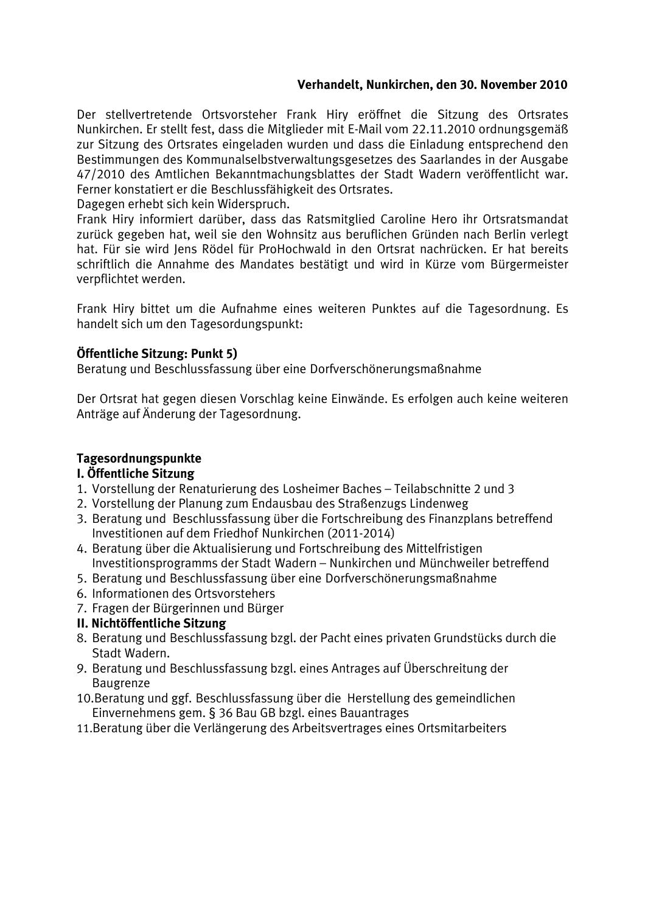## Verhandelt, Nunkirchen, den 30. November 2010

Der stellvertretende Ortsvorsteher Frank Hirv eröffnet die Sitzung des Ortsrates Nunkirchen. Er stellt fest, dass die Mitglieder mit E-Mail vom 22.11.2010 ordnungsgemäß zur Sitzung des Ortsrates eingeladen wurden und dass die Einladung entsprechend den Bestimmungen des Kommunalselbstverwaltungsgesetzes des Saarlandes in der Ausgabe 47/2010 des Amtlichen Bekanntmachungsblattes der Stadt Wadern veröffentlicht war. Ferner konstatiert er die Beschlussfähigkeit des Ortsrates.

Dagegen erhebt sich kein Widerspruch.

Frank Hiry informiert darüber, dass das Ratsmitglied Caroline Hero ihr Ortsratsmandat zurück gegeben hat, weil sie den Wohnsitz aus beruflichen Gründen nach Berlin verlegt hat. Für sie wird Jens Rödel für ProHochwald in den Ortsrat nachrücken. Er hat bereits schriftlich die Annahme des Mandates bestätigt und wird in Kürze vom Bürgermeister verpflichtet werden.

Frank Hiry bittet um die Aufnahme eines weiteren Punktes auf die Tagesordnung. Es handelt sich um den Tagesordungspunkt:

## Öffentliche Sitzung: Punkt 5)

Beratung und Beschlussfassung über eine Dorfverschönerungsmaßnahme

Der Ortsrat hat gegen diesen Vorschlag keine Einwände. Es erfolgen auch keine weiteren Anträge auf Änderung der Tagesordnung.

## Tagesordnungspunkte

#### I. Öffentliche Sitzung

- 1. Vorstellung der Renaturierung des Losheimer Baches Teilabschnitte 2 und 3
- 2. Vorstellung der Planung zum Endausbau des Straßenzugs Lindenweg
- 3. Beratung und Beschlussfassung über die Fortschreibung des Finanzplans betreffend Investitionen auf dem Friedhof Nunkirchen (2011-2014)
- 4. Beratung über die Aktualisierung und Fortschreibung des Mittelfristigen Investitionsprogramms der Stadt Wadern - Nunkirchen und Münchweiler betreffend
- 5. Beratung und Beschlussfassung über eine Dorfverschönerungsmaßnahme
- 6. Informationen des Ortsvorstehers
- 7. Fragen der Bürgerinnen und Bürger

#### II. Nichtöffentliche Sitzung

- 8. Beratung und Beschlussfassung bzgl. der Pacht eines privaten Grundstücks durch die Stadt Wadern.
- 9. Beratung und Beschlussfassung bzgl. eines Antrages auf Überschreitung der Baugrenze
- 10. Beratung und ggf. Beschlussfassung über die Herstellung des gemeindlichen Einvernehmens gem. § 36 Bau GB bzgl. eines Bauantrages
- 11. Beratung über die Verlängerung des Arbeitsvertrages eines Ortsmitarbeiters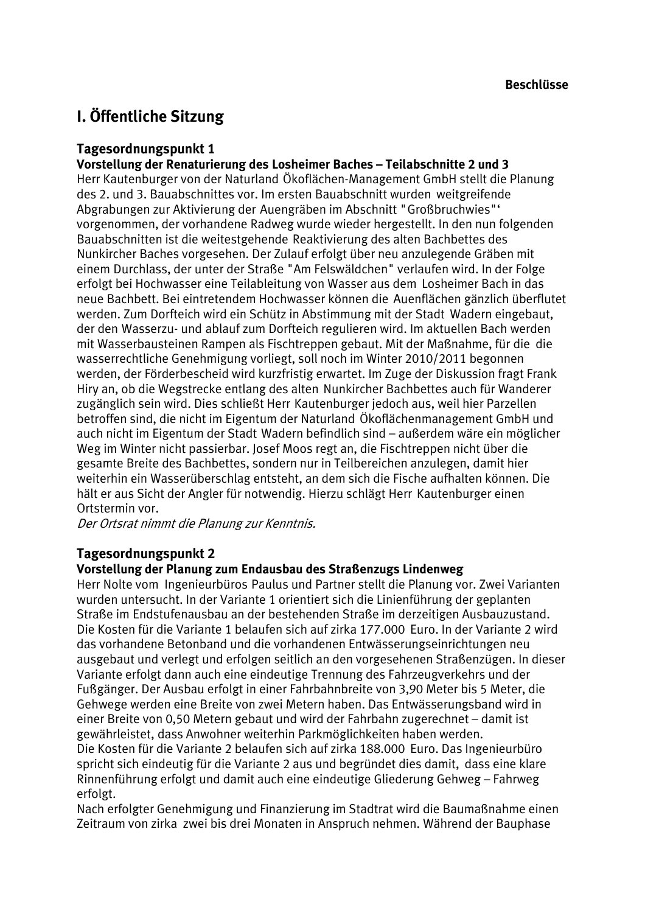## I. Öffentliche Sitzung

## Tagesordnungspunkt 1

Vorstellung der Renaturierung des Losheimer Baches - Teilabschnitte 2 und 3

Herr Kautenburger von der Naturland Ökoflächen-Management GmbH stellt die Planung des 2. und 3. Bauabschnittes vor. Im ersten Bauabschnitt wurden weitgreifende Abgrabungen zur Aktivierung der Auengräben im Abschnitt "Großbruchwies"' vorgenommen, der vorhandene Radweg wurde wieder hergestellt. In den nun folgenden Bauabschnitten ist die weitestgehende Reaktivierung des alten Bachbettes des Nunkircher Baches vorgesehen. Der Zulauf erfolgt über neu anzulegende Gräben mit einem Durchlass, der unter der Straße "Am Felswäldchen" verlaufen wird. In der Folge erfolgt bei Hochwasser eine Teilableitung von Wasser aus dem Losheimer Bach in das neue Bachbett. Bei eintretendem Hochwasser können die Auenflächen gänzlich überflutet werden. Zum Dorfteich wird ein Schütz in Abstimmung mit der Stadt Wadern eingebaut, der den Wasserzu- und ablauf zum Dorfteich regulieren wird. Im aktuellen Bach werden mit Wasserbausteinen Rampen als Fischtreppen gebaut. Mit der Maßnahme, für die die wasserrechtliche Genehmigung vorliegt, soll noch im Winter 2010/2011 begonnen werden, der Förderbescheid wird kurzfristig erwartet. Im Zuge der Diskussion fragt Frank Hirv an, ob die Wegstrecke entlang des alten Nunkircher Bachbettes auch für Wanderer zugänglich sein wird. Dies schließt Herr Kautenburger jedoch aus, weil hier Parzellen betroffen sind, die nicht im Eigentum der Naturland Ökoflächenmanagement GmbH und auch nicht im Eigentum der Stadt Wadern befindlich sind – außerdem wäre ein möglicher Weg im Winter nicht passierbar, Josef Moos regt an, die Fischtreppen nicht über die gesamte Breite des Bachbettes, sondern nur in Teilbereichen anzulegen, damit hier weiterhin ein Wasserüberschlag entsteht, an dem sich die Fische aufhalten können. Die hält er aus Sicht der Angler für notwendig. Hierzu schlägt Herr Kautenburger einen Ortstermin vor.

Der Ortsrat nimmt die Planung zur Kenntnis.

## Tagesordnungspunkt 2

#### Vorstellung der Planung zum Endausbau des Straßenzugs Lindenweg

Herr Nolte vom Ingenieurbüros Paulus und Partner stellt die Planung vor. Zwei Varianten wurden untersucht. In der Variante 1 orientiert sich die Linienführung der geplanten Straße im Endstufenausbau an der bestehenden Straße im derzeitigen Ausbauzustand. Die Kosten für die Variante 1 belaufen sich auf zirka 177.000 Euro. In der Variante 2 wird das vorhandene Betonband und die vorhandenen Entwässerungseinrichtungen neu ausgebaut und verlegt und erfolgen seitlich an den vorgesehenen Straßenzügen. In dieser Variante erfolgt dann auch eine eindeutige Trennung des Fahrzeugverkehrs und der Fußgänger. Der Ausbau erfolgt in einer Fahrbahnbreite von 3,90 Meter bis 5 Meter, die Gehwege werden eine Breite von zwei Metern haben. Das Entwässerungsband wird in einer Breite von 0.50 Metern gebaut und wird der Fahrbahn zugerechnet – damit ist gewährleistet, dass Anwohner weiterhin Parkmöglichkeiten haben werden.

Die Kosten für die Variante 2 belaufen sich auf zirka 188.000 Euro. Das Ingenieurbüro spricht sich eindeutig für die Variante 2 aus und begründet dies damit, dass eine klare Rinnenführung erfolgt und damit auch eine eindeutige Gliederung Gehweg - Fahrweg erfolgt.

Nach erfolgter Genehmigung und Finanzierung im Stadtrat wird die Baumaßnahme einen Zeitraum von zirka zwei bis drei Monaten in Anspruch nehmen. Während der Bauphase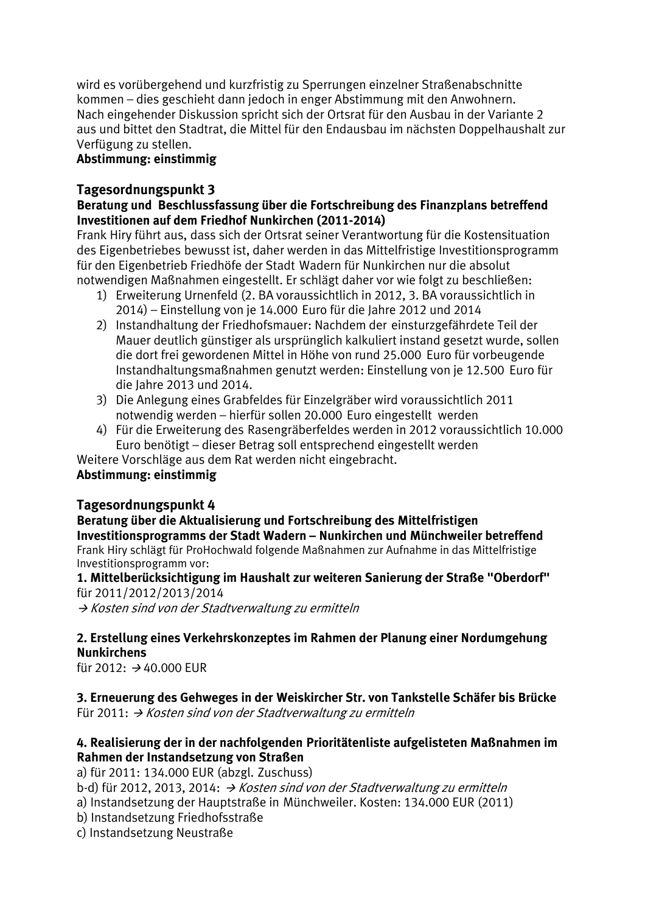wird es vorübergehend und kurzfristig zu Sperrungen einzelner Straßenabschnitte kommen – dies geschieht dann jedoch in enger Abstimmung mit den Anwohnern. Nach eingehender Diskussion spricht sich der Ortsrat für den Ausbau in der Variante 2 aus und bittet den Stadtrat, die Mittel für den Endausbau im nächsten Doppelhaushalt zur Verfügung zu stellen.

## Abstimmung: einstimmig

## Tagesordnungspunkt 3

## Beratung und Beschlussfassung über die Fortschreibung des Finanzplans betreffend Investitionen auf dem Friedhof Nunkirchen (2011-2014)

Frank Hiry führt aus, dass sich der Ortsrat seiner Verantwortung für die Kostensituation des Eigenbetriebes bewusst ist, daher werden in das Mittelfristige Investitionsprogramm für den Eigenbetrieb Friedhöfe der Stadt Wadern für Nunkirchen nur die absolut notwendigen Maßnahmen eingestellt. Er schlägt daher vor wie folgt zu beschließen:

- 1) Erweiterung Urnenfeld (2. BA voraussichtlich in 2012, 3. BA voraussichtlich in 2014) - Einstellung von je 14.000 Euro für die Jahre 2012 und 2014
- 2) Instandhaltung der Friedhofsmauer: Nachdem der einsturzgefährdete Teil der Mauer deutlich günstiger als ursprünglich kalkuliert instand gesetzt wurde, sollen die dort frei gewordenen Mittel in Höhe von rund 25.000 Euro für vorbeugende Instandhaltungsmaßnahmen genutzt werden: Einstellung von je 12.500 Euro für die Jahre 2013 und 2014.
- 3) Die Anlegung eines Grabfeldes für Einzelgräber wird voraussichtlich 2011 notwendig werden - hierfür sollen 20.000 Euro eingestellt werden
- 4) Für die Erweiterung des Rasengräberfeldes werden in 2012 voraussichtlich 10.000 Euro benötigt – dieser Betrag soll entsprechend eingestellt werden

Weitere Vorschläge aus dem Rat werden nicht eingebracht.

## Abstimmung: einstimmig

## Tagesordnungspunkt 4

#### Beratung über die Aktualisierung und Fortschreibung des Mittelfristigen Investitionsprogramms der Stadt Wadern - Nunkirchen und Münchweiler betreffend

Frank Hiry schlägt für ProHochwald folgende Maßnahmen zur Aufnahme in das Mittelfristige Investitionsprogramm vor:

#### 1. Mittelberücksichtigung im Haushalt zur weiteren Sanierung der Straße "Oberdorf" für 2011/2012/2013/2014

→ Kosten sind von der Stadtverwaltung zu ermitteln

## 2. Erstellung eines Verkehrskonzeptes im Rahmen der Planung einer Nordumgehung **Nunkirchens**

für 2012:  $\rightarrow$  40.000 EUR

3. Erneuerung des Gehweges in der Weiskircher Str. von Tankstelle Schäfer bis Brücke Für 2011:  $\rightarrow$  Kosten sind von der Stadtverwaltung zu ermitteln

## 4. Realisierung der in der nachfolgenden Prioritätenliste aufgelisteten Maßnahmen im Rahmen der Instandsetzung von Straßen

a) für 2011: 134.000 EUR (abzgl. Zuschuss)

b-d) für 2012, 2013, 2014:  $\rightarrow$  Kosten sind von der Stadtverwaltung zu ermitteln

- a) Instandsetzung der Hauptstraße in Münchweiler. Kosten: 134.000 EUR (2011)
- b) Instandsetzung Friedhofsstraße

c) Instandsetzung Neustraße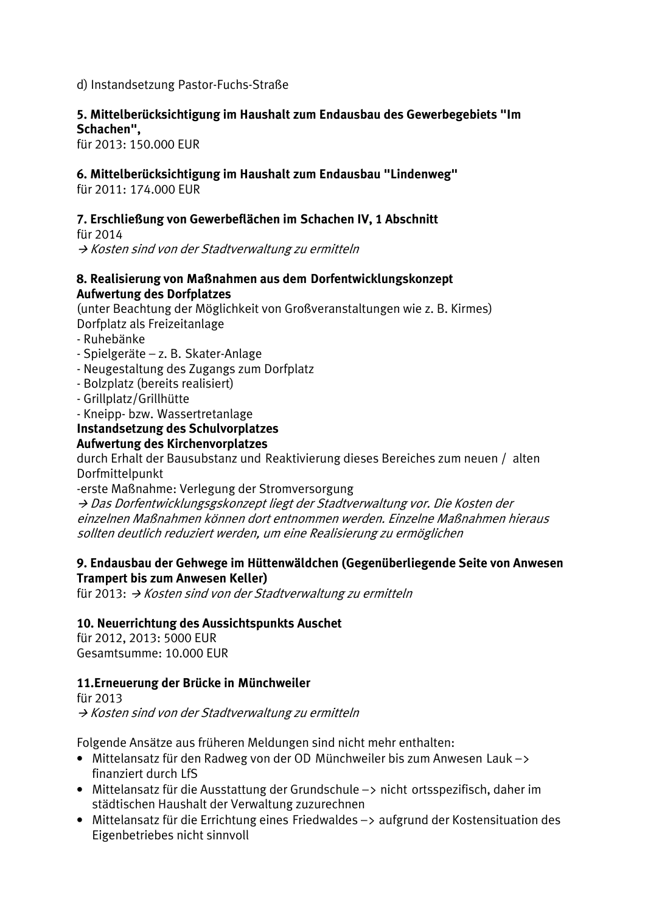## d) Instandsetzung Pastor-Fuchs-Straße

## 5. Mittelberücksichtigung im Haushalt zum Endausbau des Gewerbegebiets "Im Schachen".

für 2013: 150.000 EUR

## 6. Mittelberücksichtigung im Haushalt zum Endausbau "Lindenweg"

für  $2011 \cdot 174000$  FUR

### 7. Erschließung von Gewerbeflächen im Schachen IV, 1 Abschnitt

für 2014

→ Kosten sind von der Stadtverwaltung zu ermitteln

#### 8. Realisierung von Maßnahmen aus dem Dorfentwicklungskonzept **Aufwertung des Dorfplatzes**

(unter Beachtung der Möglichkeit von Großveranstaltungen wie z. B. Kirmes) Dorfplatz als Freizeitanlage

- Ruhebänke
- Spielgeräte z. B. Skater-Anlage
- Neugestaltung des Zugangs zum Dorfplatz
- Bolzplatz (bereits realisiert)
- Grillplatz/Grillhütte
- Kneipp- bzw. Wassertretanlage

#### Instandsetzung des Schulvorplatzes Aufwertung des Kirchenvorplatzes

durch Erhalt der Bausubstanz und Reaktivierung dieses Bereiches zum neuen / alten Dorfmittelpunkt

-erste Maßnahme: Verlegung der Stromversorgung

→ Das Dorfentwicklungsgskonzept liegt der Stadtverwaltung vor. Die Kosten der einzelnen Maßnahmen können dort entnommen werden. Einzelne Maßnahmen hieraus sollten deutlich reduziert werden, um eine Realisierung zu ermöglichen

#### 9. Endausbau der Gehwege im Hüttenwäldchen (Gegenüberliegende Seite von Anwesen Trampert bis zum Anwesen Keller)

für 2013:  $\rightarrow$  Kosten sind von der Stadtverwaltung zu ermitteln

## 10. Neuerrichtung des Aussichtspunkts Auschet

für 2012, 2013: 5000 FUR Gesamtsumme: 10.000 EUR

## 11. Erneuerung der Brücke in Münchweiler

fiir 2013 → Kosten sind von der Stadtverwaltung zu ermitteln

Folgende Ansätze aus früheren Meldungen sind nicht mehr enthalten:

- Mittelansatz für den Radweg von der OD Münchweiler bis zum Anwesen Lauk-> finanziert durch LfS
- Mittelansatz für die Ausstattung der Grundschule -> nicht ortsspezifisch, daher im städtischen Haushalt der Verwaltung zuzurechnen
- Mittelansatz für die Errichtung eines Friedwaldes -> aufgrund der Kostensituation des Eigenbetriebes nicht sinnvoll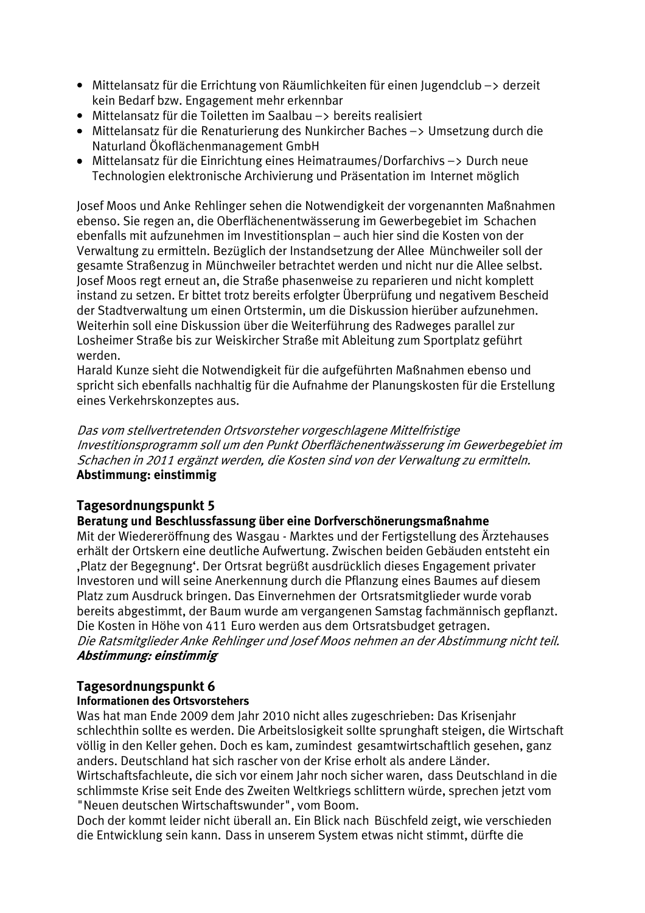- Mittelansatz für die Errichtung von Räumlichkeiten für einen Jugendclub -> derzeit kein Bedarf bzw. Engagement mehr erkennbar
- Mittelansatz für die Toiletten im Saalbau -> bereits realisiert
- Mittelansatz für die Renaturierung des Nunkircher Baches -> Umsetzung durch die Naturland Ökoflächenmanagement GmbH
- Mittelansatz für die Einrichtung eines Heimatraumes/Dorfarchivs -> Durch neue Technologien elektronische Archivierung und Präsentation im Internet möglich

Josef Moos und Anke Rehlinger sehen die Notwendigkeit der vorgenannten Maßnahmen ebenso. Sie regen an, die Oberflächenentwässerung im Gewerbegebiet im Schachen ebenfalls mit aufzunehmen im Investitionsplan – auch hier sind die Kosten von der Verwaltung zu ermitteln. Bezüglich der Instandsetzung der Allee Münchweiler soll der gesamte Straßenzug in Münchweiler betrachtet werden und nicht nur die Allee selbst. Josef Moos regt erneut an, die Straße phasenweise zu reparieren und nicht komplett instand zu setzen. Er bittet trotz bereits erfolgter Überprüfung und negativem Bescheid der Stadtverwaltung um einen Ortstermin, um die Diskussion hierüber aufzunehmen. Weiterhin soll eine Diskussion über die Weiterführung des Radweges parallel zur Losheimer Straße bis zur Weiskircher Straße mit Ableitung zum Sportplatz geführt werden.

Harald Kunze sieht die Notwendigkeit für die aufgeführten Maßnahmen ebenso und spricht sich ebenfalls nachhaltig für die Aufnahme der Planungskosten für die Erstellung eines Verkehrskonzeptes aus.

Das vom stellvertretenden Ortsvorsteher vorgeschlagene Mittelfristige Investitionsprogramm soll um den Punkt Oberflächenentwässerung im Gewerbegebiet im Schachen in 2011 ergänzt werden, die Kosten sind von der Verwaltung zu ermitteln. Abstimmung: einstimmig

## Tagesordnungspunkt 5

## Beratung und Beschlussfassung über eine Dorfverschönerungsmaßnahme

Mit der Wiedereröffnung des Wasgau - Marktes und der Fertigstellung des Ärztehauses erhält der Ortskern eine deutliche Aufwertung. Zwischen beiden Gebäuden entsteht ein "Platz der Begegnung". Der Ortsrat begrüßt ausdrücklich dieses Engagement privater Investoren und will seine Anerkennung durch die Pflanzung eines Baumes auf diesem Platz zum Ausdruck bringen. Das Einvernehmen der Ortsratsmitglieder wurde vorab bereits abgestimmt, der Baum wurde am vergangenen Samstag fachmännisch gepflanzt. Die Kosten in Höhe von 411 Euro werden aus dem Ortsratsbudget getragen. Die Ratsmitglieder Anke Rehlinger und Josef Moos nehmen an der Abstimmung nicht teil. Abstimmung: einstimmig

#### Tagesordnungspunkt 6 Informationen des Ortsvorstehers

Was hat man Ende 2009 dem Jahr 2010 nicht alles zugeschrieben: Das Krisenjahr schlechthin sollte es werden. Die Arbeitslosigkeit sollte sprunghaft steigen, die Wirtschaft völlig in den Keller gehen. Doch es kam, zumindest gesamtwirtschaftlich gesehen. ganz anders. Deutschland hat sich rascher von der Krise erholt als andere Länder. Wirtschaftsfachleute, die sich vor einem Jahr noch sicher waren, dass Deutschland in die schlimmste Krise seit Ende des Zweiten Weltkriegs schlittern würde, sprechen jetzt vom

"Neuen deutschen Wirtschaftswunder", vom Boom.

Doch der kommt leider nicht überall an. Ein Blick nach Büschfeld zeigt, wie verschieden die Entwicklung sein kann. Dass in unserem System etwas nicht stimmt, dürfte die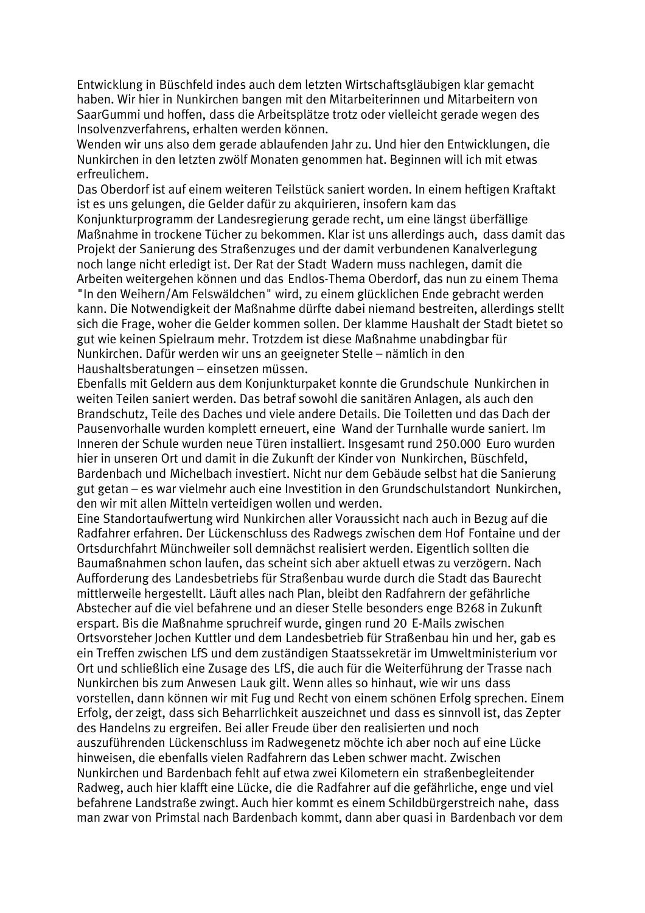Entwicklung in Büschfeld indes auch dem letzten Wirtschaftsgläubigen klar gemacht haben. Wir hier in Nunkirchen bangen mit den Mitarbeiterinnen und Mitarbeitern von SaarGummi und hoffen, dass die Arbeitsplätze trotz oder vielleicht gerade wegen des Insolvenzverfahrens, erhalten werden können.

Wenden wir uns also dem gerade ablaufenden Jahr zu. Und hier den Entwicklungen, die Nunkirchen in den letzten zwölf Monaten genommen hat. Beginnen will ich mit etwas erfreulichem.

Das Oberdorf ist auf einem weiteren Teilstück saniert worden. In einem heftigen Kraftakt ist es uns gelungen, die Gelder dafür zu akquirieren, insofern kam das

Konjunkturprogramm der Landesregierung gerade recht, um eine längst überfällige Maßnahme in trockene Tücher zu bekommen. Klar ist uns allerdings auch, dass damit das Projekt der Sanierung des Straßenzuges und der damit verbundenen Kanalverlegung noch lange nicht erledigt ist. Der Rat der Stadt Wadern muss nachlegen, damit die Arbeiten weitergehen können und das Endlos-Thema Oberdorf, das nun zu einem Thema "In den Weihern/Am Felswäldchen" wird, zu einem glücklichen Ende gebracht werden kann. Die Notwendigkeit der Maßnahme dürfte dabei niemand bestreiten, allerdings stellt sich die Frage, woher die Gelder kommen sollen. Der klamme Haushalt der Stadt bietet so gut wie keinen Spielraum mehr. Trotzdem ist diese Maßnahme unabdingbar für Nunkirchen. Dafür werden wir uns an geeigneter Stelle – nämlich in den Haushaltsberatungen - einsetzen müssen.

Ebenfalls mit Geldern aus dem Konjunkturpaket konnte die Grundschule Nunkirchen in weiten Teilen saniert werden. Das betraf sowohl die sanitären Anlagen, als auch den Brandschutz, Teile des Daches und viele andere Details. Die Toiletten und das Dach der Pausenvorhalle wurden komplett erneuert, eine Wand der Turnhalle wurde saniert. Im Inneren der Schule wurden neue Türen installiert. Insgesamt rund 250.000 Euro wurden hier in unseren Ort und damit in die Zukunft der Kinder von Nunkirchen, Büschfeld, Bardenbach und Michelbach investiert. Nicht nur dem Gebäude selbst hat die Sanierung gut getan – es war vielmehr auch eine Investition in den Grundschulstandort Nunkirchen, den wir mit allen Mitteln verteidigen wollen und werden.

Eine Standortaufwertung wird Nunkirchen aller Voraussicht nach auch in Bezug auf die Radfahrer erfahren. Der Lückenschluss des Radwegs zwischen dem Hof Fontaine und der Ortsdurchfahrt Münchweiler soll demnächst realisiert werden. Eigentlich sollten die Baumaßnahmen schon laufen, das scheint sich aber aktuell etwas zu verzögern. Nach Aufforderung des Landesbetriebs für Straßenbau wurde durch die Stadt das Baurecht mittlerweile hergestellt. Läuft alles nach Plan, bleibt den Radfahrern der gefährliche Abstecher auf die viel befahrene und an dieser Stelle besonders enge B268 in Zukunft erspart. Bis die Maßnahme spruchreif wurde, gingen rund 20 E-Mails zwischen Ortsvorsteher Jochen Kuttler und dem Landesbetrieb für Straßenbau hin und her, gab es ein Treffen zwischen LfS und dem zuständigen Staatssekretär im Umweltministerium vor Ort und schließlich eine Zusage des LfS, die auch für die Weiterführung der Trasse nach Nunkirchen bis zum Anwesen Lauk gilt. Wenn alles so hinhaut, wie wir uns dass vorstellen, dann können wir mit Fug und Recht von einem schönen Erfolg sprechen. Einem Erfolg, der zeigt, dass sich Beharrlichkeit auszeichnet und dass es sinnvoll ist, das Zepter des Handelns zu ergreifen. Bei aller Freude über den realisierten und noch auszuführenden Lückenschluss im Radwegenetz möchte ich aber noch auf eine Lücke hinweisen, die ebenfalls vielen Radfahrern das Leben schwer macht. Zwischen Nunkirchen und Bardenbach fehlt auf etwa zwei Kilometern ein straßenbegleitender Radweg, auch hier klafft eine Lücke, die die Radfahrer auf die gefährliche, enge und viel befahrene Landstraße zwingt. Auch hier kommt es einem Schildbürgerstreich nahe, dass man zwar von Primstal nach Bardenbach kommt, dann aber quasi in Bardenbach vor dem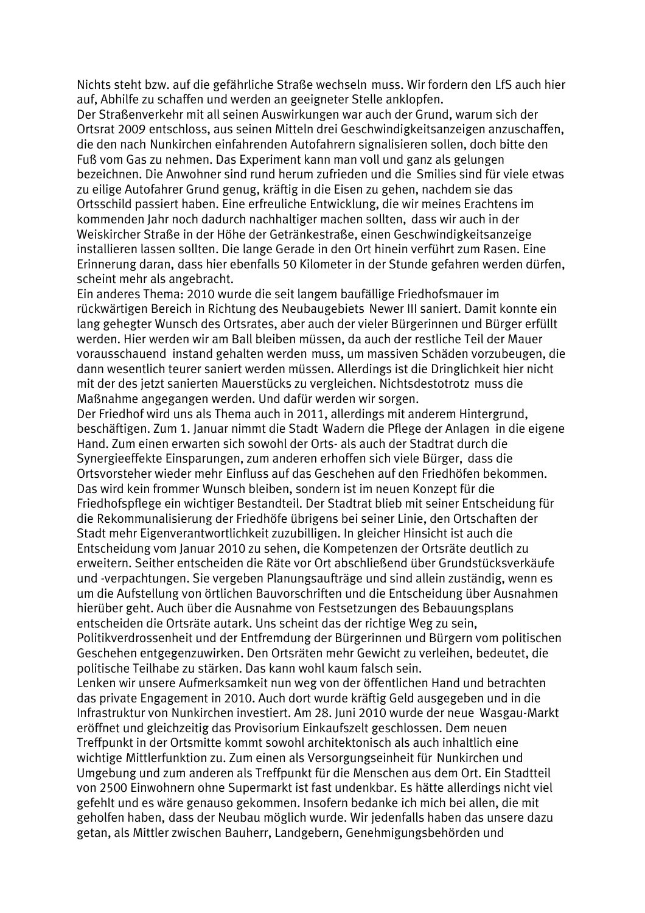Nichts steht bzw. auf die gefährliche Straße wechseln muss. Wir fordern den LfS auch hier auf, Abhilfe zu schaffen und werden an geeigneter Stelle anklopfen.

Der Straßenverkehr mit all seinen Auswirkungen war auch der Grund, warum sich der Ortsrat 2009 entschloss, aus seinen Mitteln drei Geschwindigkeitsanzeigen anzuschaffen, die den nach Nunkirchen einfahrenden Autofahrern signalisieren sollen, doch bitte den Fuß vom Gas zu nehmen. Das Experiment kann man voll und ganz als gelungen bezeichnen. Die Anwohner sind rund herum zufrieden und die Smilies sind für viele etwas zu eilige Autofahrer Grund genug, kräftig in die Eisen zu gehen, nachdem sie das Ortsschild passiert haben. Eine erfreuliche Entwicklung, die wir meines Erachtens im kommenden Jahr noch dadurch nachhaltiger machen sollten, dass wir auch in der Weiskircher Straße in der Höhe der Getränkestraße, einen Geschwindigkeitsanzeige installieren lassen sollten. Die lange Gerade in den Ort hinein verführt zum Rasen. Eine Erinnerung daran, dass hier ebenfalls 50 Kilometer in der Stunde gefahren werden dürfen, scheint mehr als angebracht.

Ein anderes Thema: 2010 wurde die seit langem baufällige Friedhofsmauer im rückwärtigen Bereich in Richtung des Neubaugebiets Newer III saniert. Damit konnte ein lang gehegter Wunsch des Ortsrates, aber auch der vieler Bürgerinnen und Bürger erfüllt werden. Hier werden wir am Ball bleiben müssen, da auch der restliche Teil der Mauer vorausschauend instand gehalten werden muss, um massiven Schäden vorzubeugen, die dann wesentlich teurer saniert werden müssen. Allerdings ist die Dringlichkeit hier nicht mit der des jetzt sanierten Mauerstücks zu vergleichen. Nichtsdestotrotz muss die Maßnahme angegangen werden. Und dafür werden wir sorgen.

Der Friedhof wird uns als Thema auch in 2011, allerdings mit anderem Hintergrund. beschäftigen. Zum 1. Januar nimmt die Stadt Wadern die Pflege der Anlagen in die eigene Hand. Zum einen erwarten sich sowohl der Orts- als auch der Stadtrat durch die Synergieeffekte Einsparungen, zum anderen erhoffen sich viele Bürger, dass die Ortsvorsteher wieder mehr Einfluss auf das Geschehen auf den Friedhöfen bekommen. Das wird kein frommer Wunsch bleiben, sondern ist im neuen Konzept für die Friedhofspflege ein wichtiger Bestandteil. Der Stadtrat blieb mit seiner Entscheidung für die Rekommunalisierung der Friedhöfe übrigens bei seiner Linie, den Ortschaften der Stadt mehr Eigenverantwortlichkeit zuzubilligen. In gleicher Hinsicht ist auch die Entscheidung vom Januar 2010 zu sehen, die Kompetenzen der Ortsräte deutlich zu erweitern. Seither entscheiden die Räte vor Ort abschließend über Grundstücksverkäufe und -verpachtungen. Sie vergeben Planungsaufträge und sind allein zuständig, wenn es um die Aufstellung von örtlichen Bauvorschriften und die Entscheidung über Ausnahmen hierüber geht. Auch über die Ausnahme von Festsetzungen des Bebauungsplans entscheiden die Ortsräte autark. Uns scheint das der richtige Weg zu sein. Politikverdrossenheit und der Entfremdung der Bürgerinnen und Bürgern vom politischen Geschehen entgegenzuwirken. Den Ortsräten mehr Gewicht zu verleihen, bedeutet, die

politische Teilhabe zu stärken. Das kann wohl kaum falsch sein.

Lenken wir unsere Aufmerksamkeit nun weg von der öffentlichen Hand und betrachten das private Engagement in 2010. Auch dort wurde kräftig Geld ausgegeben und in die Infrastruktur von Nunkirchen investiert. Am 28. Juni 2010 wurde der neue Wasgau-Markt eröffnet und gleichzeitig das Provisorium Einkaufszelt geschlossen. Dem neuen Treffpunkt in der Ortsmitte kommt sowohl architektonisch als auch inhaltlich eine wichtige Mittlerfunktion zu. Zum einen als Versorgungseinheit für Nunkirchen und Umgebung und zum anderen als Treffpunkt für die Menschen aus dem Ort. Ein Stadtteil von 2500 Einwohnern ohne Supermarkt ist fast undenkbar. Es hätte allerdings nicht viel gefehlt und es wäre genauso gekommen. Insofern bedanke ich mich bei allen, die mit geholfen haben, dass der Neubau möglich wurde. Wir jedenfalls haben das unsere dazu getan, als Mittler zwischen Bauherr, Landgebern, Genehmigungsbehörden und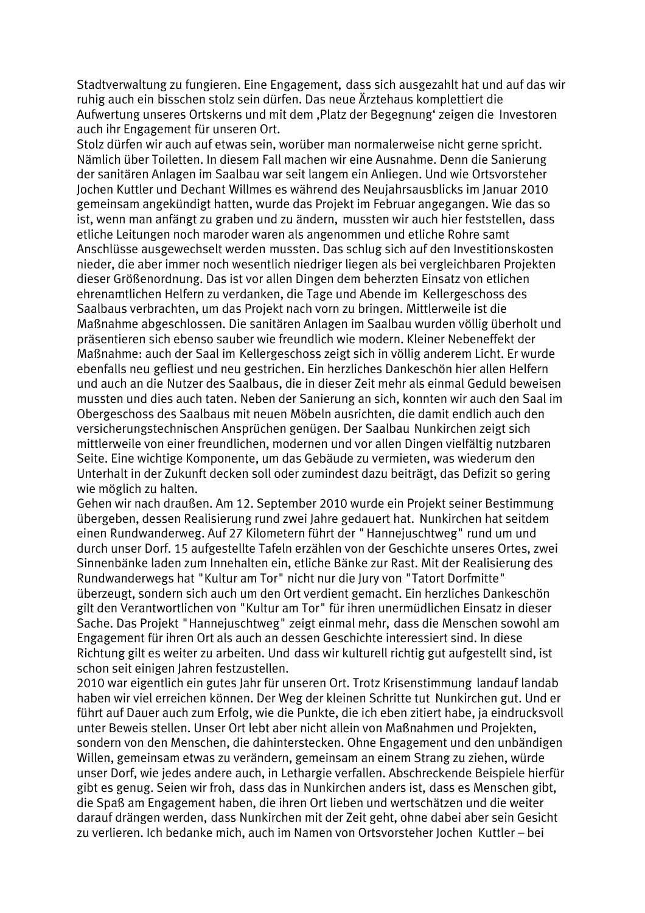Stadtverwaltung zu fungieren. Eine Engagement, dass sich ausgezahlt hat und auf das wir ruhig auch ein bisschen stolz sein dürfen. Das neue Ärztehaus komplettiert die Aufwertung unseres Ortskerns und mit dem "Platz der Begegnung' zeigen die Investoren auch ihr Engagement für unseren Ort.

Stolz dürfen wir auch auf etwas sein, worüber man normalerweise nicht gerne spricht. Nämlich über Toiletten. In diesem Fall machen wir eine Ausnahme. Denn die Sanierung der sanitären Anlagen im Saalbau war seit langem ein Anliegen. Und wie Ortsvorsteher Jochen Kuttler und Dechant Willmes es während des Neujahrsausblicks im Januar 2010 gemeinsam angekündigt hatten, wurde das Projekt im Februar angegangen. Wie das so ist, wenn man anfängt zu graben und zu ändern, mussten wir auch hier feststellen, dass etliche Leitungen noch maroder waren als angenommen und etliche Rohre samt Anschlüsse ausgewechselt werden mussten. Das schlug sich auf den Investitionskosten nieder, die aber immer noch wesentlich niedriger liegen als bei vergleichbaren Projekten dieser Größenordnung. Das ist vor allen Dingen dem beherzten Einsatz von etlichen ehrenamtlichen Helfern zu verdanken, die Tage und Abende im Kellergeschoss des Saalbaus verbrachten, um das Projekt nach vorn zu bringen. Mittlerweile ist die Maßnahme abgeschlossen. Die sanitären Anlagen im Saalbau wurden völlig überholt und präsentieren sich ebenso sauber wie freundlich wie modern. Kleiner Nebeneffekt der Maßnahme: auch der Saal im Kellergeschoss zeigt sich in völlig anderem Licht. Er wurde ebenfalls neu gefliest und neu gestrichen. Ein herzliches Dankeschön hier allen Helfern und auch an die Nutzer des Saalbaus, die in dieser Zeit mehr als einmal Geduld beweisen mussten und dies auch taten. Neben der Sanierung an sich, konnten wir auch den Saal im Obergeschoss des Saalbaus mit neuen Möbeln ausrichten, die damit endlich auch den versicherungstechnischen Ansprüchen genügen. Der Saalbau Nunkirchen zeigt sich mittlerweile von einer freundlichen, modernen und vor allen Dingen vielfältig nutzbaren Seite. Eine wichtige Komponente, um das Gebäude zu vermieten, was wiederum den Unterhalt in der Zukunft decken soll oder zumindest dazu beiträgt, das Defizit so gering wie möglich zu halten.

Gehen wir nach draußen. Am 12. September 2010 wurde ein Projekt seiner Bestimmung übergeben, dessen Realisierung rund zwei Jahre gedauert hat. Nunkirchen hat seitdem einen Rundwanderweg. Auf 27 Kilometern führt der "Hannejuschtweg" rund um und durch unser Dorf. 15 aufgestellte Tafeln erzählen von der Geschichte unseres Ortes, zwei Sinnenbänke laden zum Innehalten ein, etliche Bänke zur Rast. Mit der Realisierung des Rundwanderwegs hat "Kultur am Tor" nicht nur die Jury von "Tatort Dorfmitte" überzeugt, sondern sich auch um den Ort verdient gemacht. Ein herzliches Dankeschön gilt den Verantwortlichen von "Kultur am Tor" für ihren unermüdlichen Einsatz in dieser Sache. Das Projekt "Hannejuschtweg" zeigt einmal mehr, dass die Menschen sowohl am Engagement für ihren Ort als auch an dessen Geschichte interessiert sind. In diese Richtung gilt es weiter zu arbeiten. Und dass wir kulturell richtig gut aufgestellt sind, ist schon seit einigen Jahren festzustellen.

2010 war eigentlich ein gutes Jahr für unseren Ort. Trotz Krisenstimmung landauf landab haben wir viel erreichen können. Der Weg der kleinen Schritte tut Nunkirchen gut. Und er führt auf Dauer auch zum Erfolg, wie die Punkte, die ich eben zitiert habe, ja eindrucksvoll unter Beweis stellen. Unser Ort lebt aber nicht allein von Maßnahmen und Projekten, sondern von den Menschen, die dahinterstecken. Ohne Engagement und den unbändigen Willen, gemeinsam etwas zu verändern, gemeinsam an einem Strang zu ziehen, würde unser Dorf, wie jedes andere auch, in Lethargie verfallen. Abschreckende Beispiele hierfür gibt es genug. Seien wir froh, dass das in Nunkirchen anders ist, dass es Menschen gibt, die Spaß am Engagement haben, die ihren Ort lieben und wertschätzen und die weiter darauf drängen werden, dass Nunkirchen mit der Zeit geht, ohne dabei aber sein Gesicht zu verlieren. Ich bedanke mich, auch im Namen von Ortsvorsteher Jochen Kuttler – bei